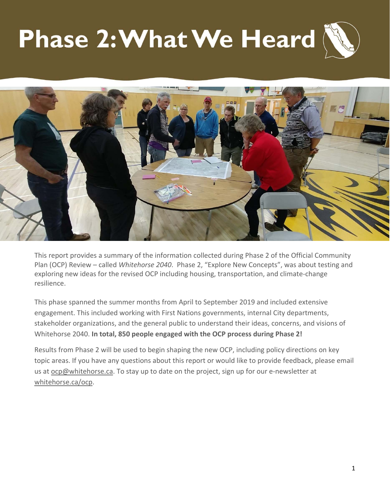# **Phase 2: What We Heard**



This report provides a summary of the information collected during Phase 2 of the Official Community Plan (OCP) Review – called *Whitehorse 2040*. Phase 2, "Explore New Concepts", was about testing and exploring new ideas for the revised OCP including housing, transportation, and climate-change resilience.

This phase spanned the summer months from April to September 2019 and included extensive engagement. This included working with First Nations governments, internal City departments, stakeholder organizations, and the general public to understand their ideas, concerns, and visions of Whitehorse 2040. **In total, 850 people engaged with the OCP process during Phase 2!**

Results from Phase 2 will be used to begin shaping the new OCP, including policy directions on key topic areas. If you have any questions about this report or would like to provide feedback, please email us at ocp@whitehorse.ca. To stay up to date on the project, sign up for our e-newsletter at whitehorse.ca/ocp.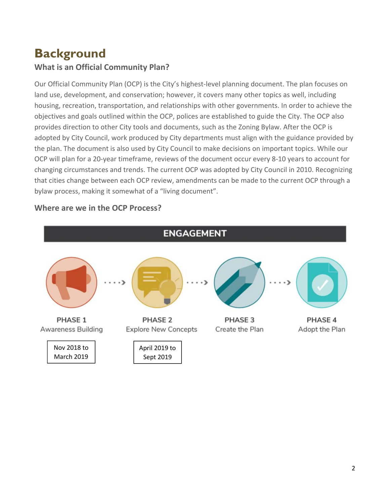# **Background**

# **What is an Official Community Plan?**

Our Official Community Plan (OCP) is the City's highest‐level planning document. The plan focuses on land use, development, and conservation; however, it covers many other topics as well, including housing, recreation, transportation, and relationships with other governments. In order to achieve the objectives and goals outlined within the OCP, polices are established to guide the City. The OCP also provides direction to other City tools and documents, such as the Zoning Bylaw. After the OCP is adopted by City Council, work produced by City departments must align with the guidance provided by the plan. The document is also used by City Council to make decisions on important topics. While our OCP will plan for a 20‐year timeframe, reviews of the document occur every 8‐10 years to account for changing circumstances and trends. The current OCP was adopted by City Council in 2010. Recognizing that cities change between each OCP review, amendments can be made to the current OCP through a bylaw process, making it somewhat of a "living document".



#### **Where are we in the OCP Process?**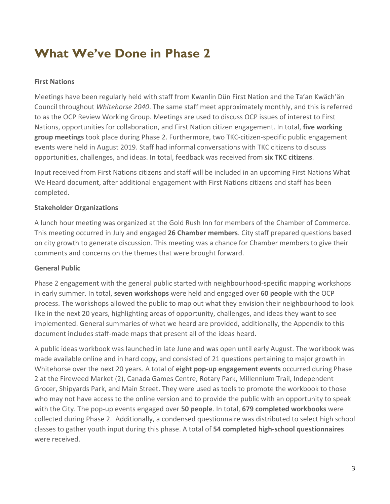# **What We've Done in Phase 2**

#### **First Nations**

Meetings have been regularly held with staff from Kwanlin Dün First Nation and the Ta'an Kwäch'än Council throughout *Whitehorse 2040*. The same staff meet approximately monthly, and this is referred to as the OCP Review Working Group. Meetings are used to discuss OCP issues of interest to First Nations, opportunities for collaboration, and First Nation citizen engagement. In total, **five working group meetings** took place during Phase 2. Furthermore, two TKC‐citizen‐specific public engagement events were held in August 2019. Staff had informal conversations with TKC citizens to discuss opportunities, challenges, and ideas. In total, feedback was received from **six TKC citizens**.

Input received from First Nations citizens and staff will be included in an upcoming First Nations What We Heard document, after additional engagement with First Nations citizens and staff has been completed.

#### **Stakeholder Organizations**

A lunch hour meeting was organized at the Gold Rush Inn for members of the Chamber of Commerce. This meeting occurred in July and engaged **26 Chamber members**. City staff prepared questions based on city growth to generate discussion. This meeting was a chance for Chamber members to give their comments and concerns on the themes that were brought forward.

#### **General Public**

Phase 2 engagement with the general public started with neighbourhood‐specific mapping workshops in early summer. In total, **seven workshops** were held and engaged over **60 people** with the OCP process. The workshops allowed the public to map out what they envision their neighbourhood to look like in the next 20 years, highlighting areas of opportunity, challenges, and ideas they want to see implemented. General summaries of what we heard are provided, additionally, the Appendix to this document includes staff‐made maps that present all of the ideas heard.

A public ideas workbook was launched in late June and was open until early August. The workbook was made available online and in hard copy, and consisted of 21 questions pertaining to major growth in Whitehorse over the next 20 years. A total of **eight pop‐up engagement events** occurred during Phase 2 at the Fireweed Market (2), Canada Games Centre, Rotary Park, Millennium Trail, Independent Grocer, Shipyards Park, and Main Street. They were used as tools to promote the workbook to those who may not have access to the online version and to provide the public with an opportunity to speak with the City. The pop‐up events engaged over **50 people**. In total, **679 completed workbooks** were collected during Phase 2. Additionally, a condensed questionnaire was distributed to select high school classes to gather youth input during this phase. A total of **54 completed high‐school questionnaires** were received.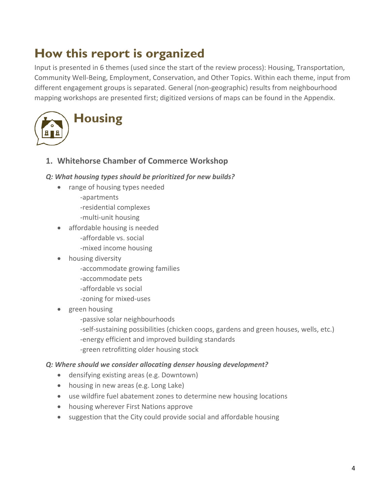# **How this report is organized**

Input is presented in 6 themes (used since the start of the review process): Housing, Transportation, Community Well‐Being, Employment, Conservation, and Other Topics. Within each theme, input from different engagement groups is separated. General (non‐geographic) results from neighbourhood mapping workshops are presented first; digitized versions of maps can be found in the Appendix.



**1. Whitehorse Chamber of Commerce Workshop** 

#### *Q: What housing types should be prioritized for new builds?*

- range of housing types needed
	- ‐apartments
	- ‐residential complexes
	- ‐multi‐unit housing
- affordable housing is needed ‐affordable vs. social ‐mixed income housing
- housing diversity
	- ‐accommodate growing families
	- ‐accommodate pets
	- ‐affordable vs social
	- ‐zoning for mixed‐uses
- green housing
	- ‐passive solar neighbourhoods
	- ‐self‐sustaining possibilities (chicken coops, gardens and green houses, wells, etc.) ‐energy efficient and improved building standards ‐green retrofitting older housing stock

#### *Q: Where should we consider allocating denser housing development?*

- densifying existing areas (e.g. Downtown)
- housing in new areas (e.g. Long Lake)
- use wildfire fuel abatement zones to determine new housing locations
- housing wherever First Nations approve
- suggestion that the City could provide social and affordable housing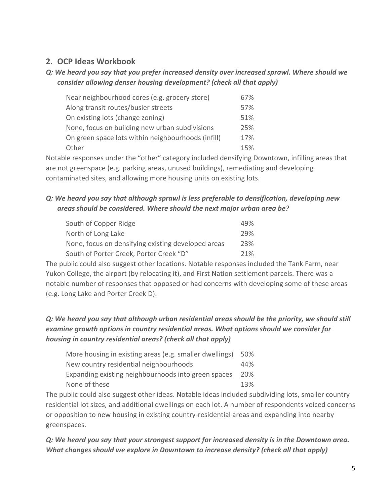#### *Q: We heard you say that you prefer increased density over increased sprawl. Where should we consider allowing denser housing development? (check all that apply)*

| Near neighbourhood cores (e.g. grocery store)      | 67% |
|----------------------------------------------------|-----|
| Along transit routes/busier streets                | 57% |
| On existing lots (change zoning)                   | 51% |
| None, focus on building new urban subdivisions     | 25% |
| On green space lots within neighbourhoods (infill) | 17% |
| Other                                              | 15% |

Notable responses under the "other" category included densifying Downtown, infilling areas that are not greenspace (e.g. parking areas, unused buildings), remediating and developing contaminated sites, and allowing more housing units on existing lots.

## *Q: We heard you say that although sprawl is less preferable to densification, developing new areas should be considered. Where should the next major urban area be?*

| South of Copper Ridge                              | 49% |
|----------------------------------------------------|-----|
| North of Long Lake                                 | 29% |
| None, focus on densifying existing developed areas | 23% |
| South of Porter Creek, Porter Creek "D"            | 21% |

The public could also suggest other locations. Notable responses included the Tank Farm, near Yukon College, the airport (by relocating it), and First Nation settlement parcels. There was a notable number of responses that opposed or had concerns with developing some of these areas (e.g. Long Lake and Porter Creek D).

## *Q: We heard you say that although urban residential areas should be the priority, we should still examine growth options in country residential areas. What options should we consider for housing in country residential areas? (check all that apply)*

| More housing in existing areas (e.g. smaller dwellings) | 50% |
|---------------------------------------------------------|-----|
| New country residential neighbourhoods                  | 44% |
| Expanding existing neighbourhoods into green spaces     | 20% |
| None of these                                           | 13% |

The public could also suggest other ideas. Notable ideas included subdividing lots, smaller country residential lot sizes, and additional dwellings on each lot. A number of respondents voiced concerns or opposition to new housing in existing country‐residential areas and expanding into nearby greenspaces.

#### *Q: We heard you say that your strongest support for increased density is in the Downtown area. What changes should we explore in Downtown to increase density? (check all that apply)*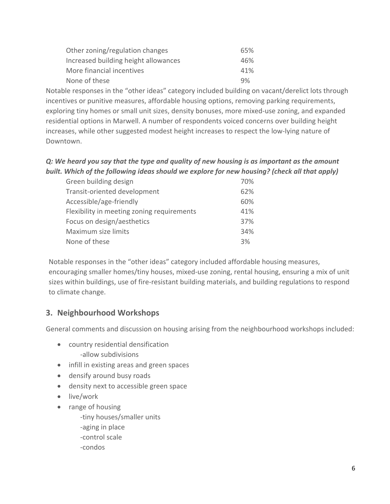| Other zoning/regulation changes      | 65% |
|--------------------------------------|-----|
| Increased building height allowances | 46% |
| More financial incentives            | 41% |
| None of these                        | 9%  |

Notable responses in the "other ideas" category included building on vacant/derelict lots through incentives or punitive measures, affordable housing options, removing parking requirements, exploring tiny homes or small unit sizes, density bonuses, more mixed-use zoning, and expanded residential options in Marwell. A number of respondents voiced concerns over building height increases, while other suggested modest height increases to respect the low‐lying nature of Downtown.

*Q: We heard you say that the type and quality of new housing is as important as the amount built. Which of the following ideas should we explore for new housing? (check all that apply)* 

| Green building design                      | 70% |
|--------------------------------------------|-----|
| Transit-oriented development               | 62% |
| Accessible/age-friendly                    | 60% |
| Flexibility in meeting zoning requirements | 41% |
| Focus on design/aesthetics                 | 37% |
| Maximum size limits                        | 34% |
| None of these                              | 3%  |

Notable responses in the "other ideas" category included affordable housing measures, encouraging smaller homes/tiny houses, mixed-use zoning, rental housing, ensuring a mix of unit sizes within buildings, use of fire‐resistant building materials, and building regulations to respond to climate change.

# **3. Neighbourhood Workshops**

General comments and discussion on housing arising from the neighbourhood workshops included:

- country residential densification ‐allow subdivisions
- infill in existing areas and green spaces
- densify around busy roads
- density next to accessible green space
- live/work
- range of housing
	- ‐tiny houses/smaller units
	- ‐aging in place
	- ‐control scale
	- ‐condos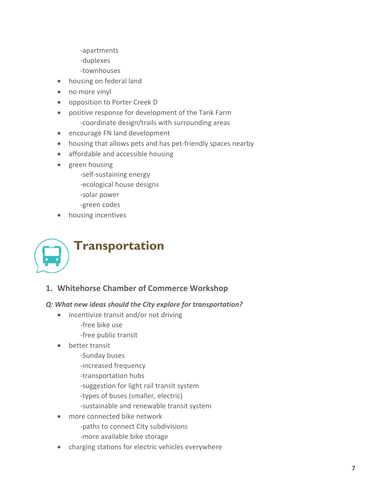- ‐apartments
- ‐duplexes
- ‐townhouses
- housing on federal land
- no more vinyl
- opposition to Porter Creek D
- positive response for development of the Tank Farm ‐coordinate design/trails with surrounding areas
- encourage FN land development
- housing that allows pets and has pet-friendly spaces nearby
- affordable and accessible housing
- green housing
	- ‐self‐sustaining energy
	- ‐ecological house designs
	- ‐solar power
	- ‐green codes
- housing incentives



**1. Whitehorse Chamber of Commerce Workshop** 

#### *Q: What new ideas should the City explore for transportation?*

- incentivize transit and/or not driving
	- ‐free bike use
	- ‐free public transit
- better transit
	- ‐Sunday buses
	- ‐increased frequency
	- ‐transportation hubs
	- ‐suggestion for light rail transit system
	- ‐types of buses (smaller, electric)
	- ‐sustainable and renewable transit system
- more connected bike network ‐paths to connect City subdivisions ‐more available bike storage
- charging stations for electric vehicles everywhere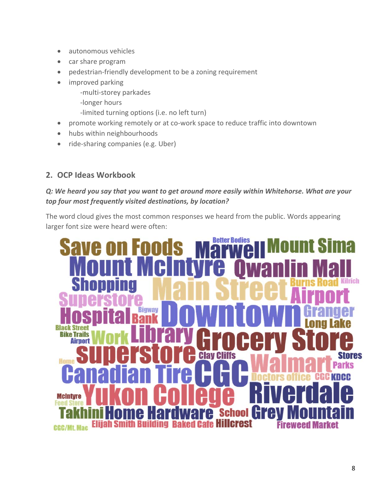- autonomous vehicles
- car share program
- pedestrian-friendly development to be a zoning requirement
- improved parking
	- ‐multi‐storey parkades
	- ‐longer hours
	- ‐limited turning options (i.e. no left turn)
- promote working remotely or at co-work space to reduce traffic into downtown
- hubs within neighbourhoods
- ride-sharing companies (e.g. Uber)

#### *Q: We heard you say that you want to get around more easily within Whitehorse. What are your top four most frequently visited destinations, by location?*

The word cloud gives the most common responses we heard from the public. Words appearing larger font size were heard were often:

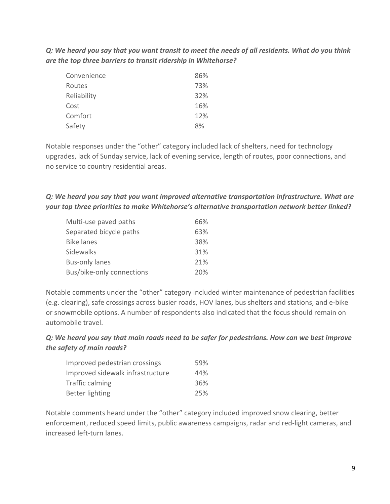*Q: We heard you say that you want transit to meet the needs of all residents. What do you think are the top three barriers to transit ridership in Whitehorse?* 

| Convenience | 86% |
|-------------|-----|
| Routes      | 73% |
| Reliability | 32% |
| Cost        | 16% |
| Comfort     | 12% |
| Safety      | 8%  |

Notable responses under the "other" category included lack of shelters, need for technology upgrades, lack of Sunday service, lack of evening service, length of routes, poor connections, and no service to country residential areas.

*Q: We heard you say that you want improved alternative transportation infrastructure. What are your top three priorities to make Whitehorse's alternative transportation network better linked?* 

| Multi-use paved paths     | 66% |
|---------------------------|-----|
| Separated bicycle paths   | 63% |
| <b>Bike lanes</b>         | 38% |
| Sidewalks                 | 31% |
| <b>Bus-only lanes</b>     | 21% |
| Bus/bike-only connections | 20% |

Notable comments under the "other" category included winter maintenance of pedestrian facilities (e.g. clearing), safe crossings across busier roads, HOV lanes, bus shelters and stations, and e‐bike or snowmobile options. A number of respondents also indicated that the focus should remain on automobile travel.

*Q: We heard you say that main roads need to be safer for pedestrians. How can we best improve the safety of main roads?* 

| Improved pedestrian crossings    | 59% |
|----------------------------------|-----|
| Improved sidewalk infrastructure | 44% |
| Traffic calming                  | 36% |
| Better lighting                  | 25% |

Notable comments heard under the "other" category included improved snow clearing, better enforcement, reduced speed limits, public awareness campaigns, radar and red‐light cameras, and increased left‐turn lanes.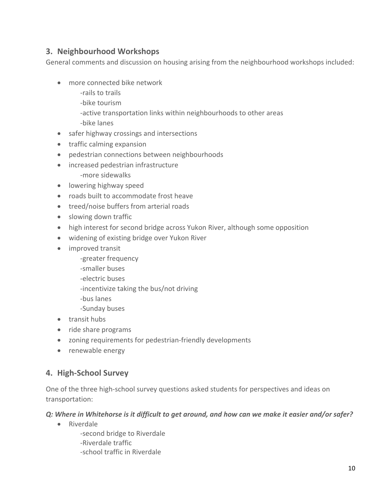# **3. Neighbourhood Workshops**

General comments and discussion on housing arising from the neighbourhood workshops included:

- more connected bike network
	- ‐rails to trails
	- ‐bike tourism
	- ‐active transportation links within neighbourhoods to other areas
	- ‐bike lanes
- safer highway crossings and intersections
- traffic calming expansion
- pedestrian connections between neighbourhoods
- increased pedestrian infrastructure
	- ‐more sidewalks
- **•** lowering highway speed
- roads built to accommodate frost heave
- treed/noise buffers from arterial roads
- slowing down traffic
- high interest for second bridge across Yukon River, although some opposition
- widening of existing bridge over Yukon River
- improved transit
	- ‐greater frequency
	- ‐smaller buses
	- ‐electric buses
	- ‐incentivize taking the bus/not driving
	- ‐bus lanes
	- ‐Sunday buses
- transit hubs
- ride share programs
- zoning requirements for pedestrian-friendly developments
- renewable energy

## **4. High‐School Survey**

One of the three high-school survey questions asked students for perspectives and ideas on transportation:

#### *Q: Where in Whitehorse is it difficult to get around, and how can we make it easier and/or safer?*

• Riverdale

‐second bridge to Riverdale ‐Riverdale traffic ‐school traffic in Riverdale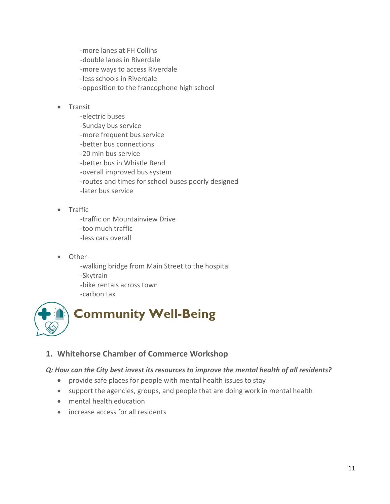‐more lanes at FH Collins ‐double lanes in Riverdale ‐more ways to access Riverdale ‐less schools in Riverdale ‐opposition to the francophone high school

#### **•** Transit

‐electric buses ‐Sunday bus service ‐more frequent bus service ‐better bus connections ‐20 min bus service ‐better bus in Whistle Bend ‐overall improved bus system ‐routes and times for school buses poorly designed ‐later bus service

• Traffic

‐traffic on Mountainview Drive ‐too much traffic ‐less cars overall

Other

‐walking bridge from Main Street to the hospital ‐Skytrain ‐bike rentals across town ‐carbon tax



## **1. Whitehorse Chamber of Commerce Workshop**

#### *Q: How can the City best invest its resources to improve the mental health of all residents?*

- provide safe places for people with mental health issues to stay
- support the agencies, groups, and people that are doing work in mental health
- mental health education
- increase access for all residents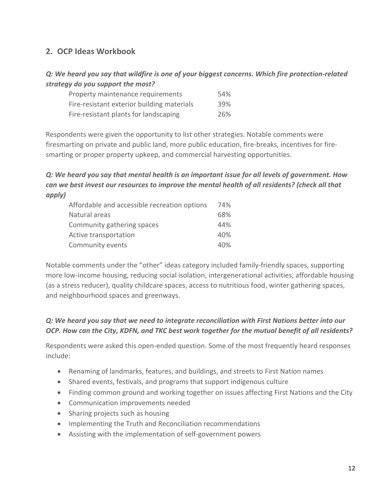*Q: We heard you say that wildfire is one of your biggest concerns. Which fire protection‐related strategy do you support the most?* 

| Property maintenance requirements          | 54% |
|--------------------------------------------|-----|
| Fire-resistant exterior building materials | 39% |
| Fire-resistant plants for landscaping      | 26% |

Respondents were given the opportunity to list other strategies. Notable comments were firesmarting on private and public land, more public education, fire-breaks, incentives for firesmarting or proper property upkeep, and commercial harvesting opportunities.

#### *Q: We heard you say that mental health is an important issue for all levels of government. How can we best invest our resources to improve the mental health of all residents? (check all that apply)*

| Affordable and accessible recreation options | 74% |
|----------------------------------------------|-----|
| Natural areas                                | 68% |
| Community gathering spaces                   | 44% |
| Active transportation                        | 40% |
| Community events                             | 40% |

Notable comments under the "other" ideas category included family‐friendly spaces, supporting more low-income housing, reducing social isolation, intergenerational activities, affordable housing (as a stress reducer), quality childcare spaces, access to nutritious food, winter gathering spaces, and neighbourhood spaces and greenways.

#### *Q: We heard you say that we need to integrate reconciliation with First Nations better into our OCP. How can the City, KDFN, and TKC best work together for the mutual benefit of all residents?*

Respondents were asked this open‐ended question. Some of the most frequently heard responses include:

- Renaming of landmarks, features, and buildings, and streets to First Nation names
- Shared events, festivals, and programs that support indigenous culture
- Finding common ground and working together on issues affecting First Nations and the City
- Communication improvements needed
- Sharing projects such as housing
- Implementing the Truth and Reconciliation recommendations
- Assisting with the implementation of self-government powers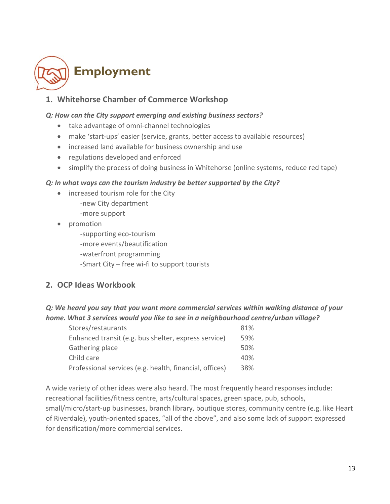

# **1. Whitehorse Chamber of Commerce Workshop**

#### *Q: How can the City support emerging and existing business sectors?*

- take advantage of omni-channel technologies
- make 'start-ups' easier (service, grants, better access to available resources)
- increased land available for business ownership and use
- regulations developed and enforced
- simplify the process of doing business in Whitehorse (online systems, reduce red tape)

#### *Q: In what ways can the tourism industry be better supported by the City?*

- increased tourism role for the City ‐new City department ‐more support
- promotion

‐supporting eco‐tourism ‐more events/beautification ‐waterfront programming ‐Smart City – free wi‐fi to support tourists

#### **2. OCP Ideas Workbook**

#### *Q: We heard you say that you want more commercial services within walking distance of your home. What 3 services would you like to see in a neighbourhood centre/urban village?*

| Stores/restaurants                                      | 81% |
|---------------------------------------------------------|-----|
| Enhanced transit (e.g. bus shelter, express service)    | 59% |
| Gathering place                                         | 50% |
| Child care                                              | 40% |
| Professional services (e.g. health, financial, offices) | 38% |

A wide variety of other ideas were also heard. The most frequently heard responses include: recreational facilities/fitness centre, arts/cultural spaces, green space, pub, schools, small/micro/start‐up businesses, branch library, boutique stores, community centre (e.g. like Heart of Riverdale), youth‐oriented spaces, "all of the above", and also some lack of support expressed for densification/more commercial services.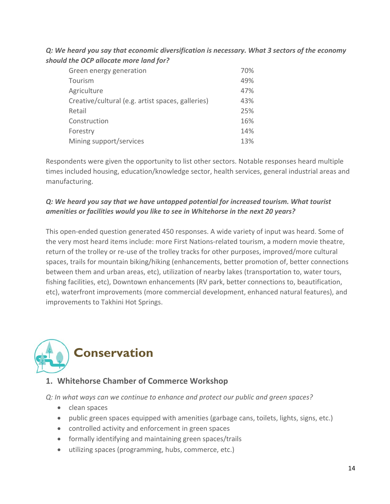*Q: We heard you say that economic diversification is necessary. What 3 sectors of the economy should the OCP allocate more land for?* 

| Green energy generation                           | 70% |
|---------------------------------------------------|-----|
| Tourism                                           | 49% |
| Agriculture                                       | 47% |
| Creative/cultural (e.g. artist spaces, galleries) | 43% |
| Retail                                            | 25% |
| Construction                                      | 16% |
| Forestry                                          | 14% |
| Mining support/services                           | 13% |

Respondents were given the opportunity to list other sectors. Notable responses heard multiple times included housing, education/knowledge sector, health services, general industrial areas and manufacturing.

#### *Q: We heard you say that we have untapped potential for increased tourism. What tourist amenities or facilities would you like to see in Whitehorse in the next 20 years?*

This open‐ended question generated 450 responses. A wide variety of input was heard. Some of the very most heard items include: more First Nations‐related tourism, a modern movie theatre, return of the trolley or re‐use of the trolley tracks for other purposes, improved/more cultural spaces, trails for mountain biking/hiking (enhancements, better promotion of, better connections between them and urban areas, etc), utilization of nearby lakes (transportation to, water tours, fishing facilities, etc), Downtown enhancements (RV park, better connections to, beautification, etc), waterfront improvements (more commercial development, enhanced natural features), and improvements to Takhini Hot Springs.



# **1. Whitehorse Chamber of Commerce Workshop**

*Q: In what ways can we continue to enhance and protect our public and green spaces?* 

- clean spaces
- public green spaces equipped with amenities (garbage cans, toilets, lights, signs, etc.)
- controlled activity and enforcement in green spaces
- formally identifying and maintaining green spaces/trails
- utilizing spaces (programming, hubs, commerce, etc.)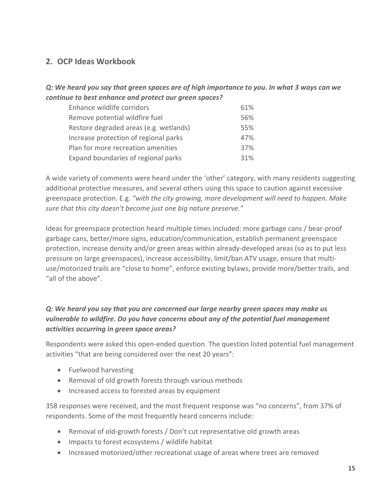#### *Q: We heard you say that green spaces are of high importance to you. In what 3 ways can we continue to best enhance and protect our green spaces?*

| Enhance wildlife corridors             | 61% |
|----------------------------------------|-----|
| Remove potential wildfire fuel         | 56% |
| Restore degraded areas (e.g. wetlands) | 55% |
| Increase protection of regional parks  | 47% |
| Plan for more recreation amenities     | 37% |
| Expand boundaries of regional parks    | 31% |

A wide variety of comments were heard under the 'other' category, with many residents suggesting additional protective measures, and several others using this space to caution against excessive greenspace protection. E.g. *"with the city growing, more development will need to happen. Make sure that this city doesn't become just one big nature preserve."* 

Ideas for greenspace protection heard multiple times included: more garbage cans / bear‐proof garbage cans, better/more signs, education/communication, establish permanent greenspace protection, increase density and/or green areas within already-developed areas (so as to put less pressure on large greenspaces), increase accessibility, limit/ban ATV usage, ensure that multi‐ use/motorized trails are "close to home", enforce existing bylaws, provide more/better trails, and "all of the above".

#### *Q: We heard you say that you are concerned our large nearby green spaces may make us vulnerable to wildfire. Do you have concerns about any of the potential fuel management activities occurring in green space areas?*

Respondents were asked this open‐ended question. The question listed potential fuel management activities "that are being considered over the next 20 years":

- Fuelwood harvesting
- Removal of old growth forests through various methods
- Increased access to forested areas by equipment

358 responses were received, and the most frequent response was "no concerns", from 37% of respondents. Some of the most frequently heard concerns include:

- Removal of old-growth forests / Don't cut representative old growth areas
- Impacts to forest ecosystems / wildlife habitat
- Increased motorized/other recreational usage of areas where trees are removed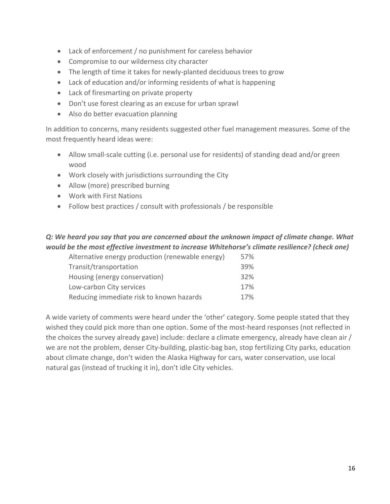- Lack of enforcement / no punishment for careless behavior
- Compromise to our wilderness city character
- The length of time it takes for newly‐planted deciduous trees to grow
- Lack of education and/or informing residents of what is happening
- Lack of firesmarting on private property
- Don't use forest clearing as an excuse for urban sprawl
- Also do better evacuation planning

In addition to concerns, many residents suggested other fuel management measures. Some of the most frequently heard ideas were:

- Allow small-scale cutting (i.e. personal use for residents) of standing dead and/or green wood
- Work closely with jurisdictions surrounding the City
- Allow (more) prescribed burning
- Work with First Nations
- Follow best practices / consult with professionals / be responsible

#### *Q: We heard you say that you are concerned about the unknown impact of climate change. What would be the most effective investment to increase Whitehorse's climate resilience? (check one)*

| Alternative energy production (renewable energy) | 57% |
|--------------------------------------------------|-----|
| Transit/transportation                           | 39% |
| Housing (energy conservation)                    | 32% |
| Low-carbon City services                         | 17% |
| Reducing immediate risk to known hazards         | 17% |

A wide variety of comments were heard under the 'other' category. Some people stated that they wished they could pick more than one option. Some of the most-heard responses (not reflected in the choices the survey already gave) include: declare a climate emergency, already have clean air / we are not the problem, denser City-building, plastic-bag ban, stop fertilizing City parks, education about climate change, don't widen the Alaska Highway for cars, water conservation, use local natural gas (instead of trucking it in), don't idle City vehicles.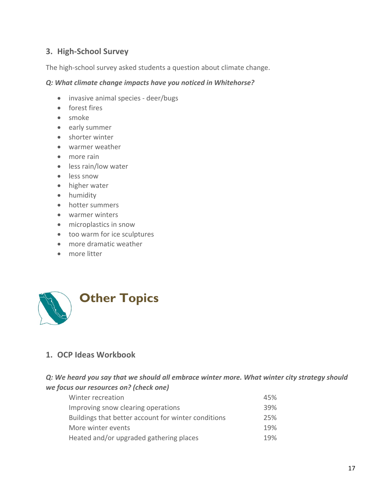# **3. High‐School Survey**

The high-school survey asked students a question about climate change.

#### *Q: What climate change impacts have you noticed in Whitehorse?*

- invasive animal species deer/bugs
- forest fires
- smoke
- early summer
- shorter winter
- warmer weather
- more rain
- less rain/low water
- less snow
- higher water
- humidity
- hotter summers
- warmer winters
- microplastics in snow
- too warm for ice sculptures
- more dramatic weather
- more litter



## **1. OCP Ideas Workbook**

#### *Q: We heard you say that we should all embrace winter more. What winter city strategy should we focus our resources on? (check one)*

| Winter recreation                                   | 45% |
|-----------------------------------------------------|-----|
| Improving snow clearing operations                  | 39% |
| Buildings that better account for winter conditions | 25% |
| More winter events                                  | 19% |
| Heated and/or upgraded gathering places             | 19% |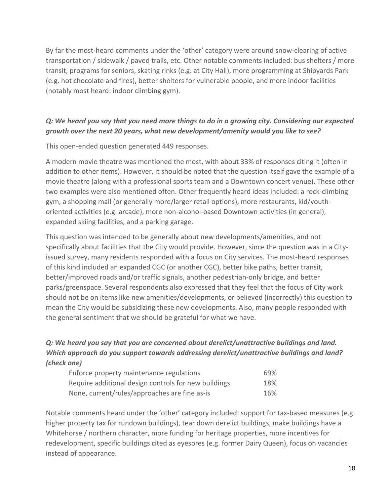By far the most‐heard comments under the 'other' category were around snow‐clearing of active transportation / sidewalk / paved trails, etc. Other notable comments included: bus shelters / more transit, programs for seniors, skating rinks (e.g. at City Hall), more programming at Shipyards Park (e.g. hot chocolate and fires), better shelters for vulnerable people, and more indoor facilities (notably most heard: indoor climbing gym).

#### *Q: We heard you say that you need more things to do in a growing city. Considering our expected growth over the next 20 years, what new development/amenity would you like to see?*

This open‐ended question generated 449 responses.

A modern movie theatre was mentioned the most, with about 33% of responses citing it (often in addition to other items). However, it should be noted that the question itself gave the example of a movie theatre (along with a professional sports team and a Downtown concert venue). These other two examples were also mentioned often. Other frequently heard ideas included: a rock‐climbing gym, a shopping mall (or generally more/larger retail options), more restaurants, kid/youth‐ oriented activities (e.g. arcade), more non‐alcohol‐based Downtown activities (in general), expanded skiing facilities, and a parking garage.

This question was intended to be generally about new developments/amenities, and not specifically about facilities that the City would provide. However, since the question was in a Cityissued survey, many residents responded with a focus on City services. The most-heard responses of this kind included an expanded CGC (or another CGC), better bike paths, better transit, better/improved roads and/or traffic signals, another pedestrian‐only bridge, and better parks/greenspace. Several respondents also expressed that they feel that the focus of City work should not be on items like new amenities/developments, or believed (incorrectly) this question to mean the City would be subsidizing these new developments. Also, many people responded with the general sentiment that we should be grateful for what we have.

## *Q: We heard you say that you are concerned about derelict/unattractive buildings and land. Which approach do you support towards addressing derelict/unattractive buildings and land? (check one)*

| Enforce property maintenance regulations             | 69% |
|------------------------------------------------------|-----|
| Require additional design controls for new buildings | 18% |
| None, current/rules/approaches are fine as-is        | 16% |

Notable comments heard under the 'other' category included: support for tax‐based measures (e.g. higher property tax for rundown buildings), tear down derelict buildings, make buildings have a Whitehorse / northern character, more funding for heritage properties, more incentives for redevelopment, specific buildings cited as eyesores (e.g. former Dairy Queen), focus on vacancies instead of appearance.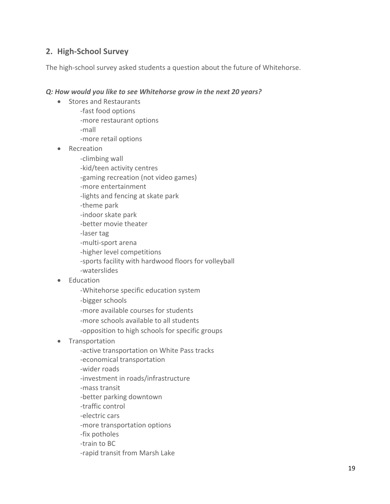## **2. High‐School Survey**

The high-school survey asked students a question about the future of Whitehorse.

#### *Q: How would you like to see Whitehorse grow in the next 20 years?*

- Stores and Restaurants
	- ‐fast food options
	- ‐more restaurant options

‐mall

- ‐more retail options
- Recreation
	- ‐climbing wall
	- ‐kid/teen activity centres
	- ‐gaming recreation (not video games)
	- ‐more entertainment
	- ‐lights and fencing at skate park
	- ‐theme park
	- ‐indoor skate park
	- ‐better movie theater
	- ‐laser tag
	- ‐multi‐sport arena
	- ‐higher level competitions
	- ‐sports facility with hardwood floors for volleyball
	- ‐waterslides
- Education
	- ‐Whitehorse specific education system
	- ‐bigger schools
	- ‐more available courses for students
	- ‐more schools available to all students
	- ‐opposition to high schools for specific groups
- Transportation
	- ‐active transportation on White Pass tracks
	- ‐economical transportation
	- ‐wider roads
	- ‐investment in roads/infrastructure
	- ‐mass transit
	- ‐better parking downtown
	- ‐traffic control
	- ‐electric cars
	- ‐more transportation options
	- ‐fix potholes
	- ‐train to BC
	- ‐rapid transit from Marsh Lake